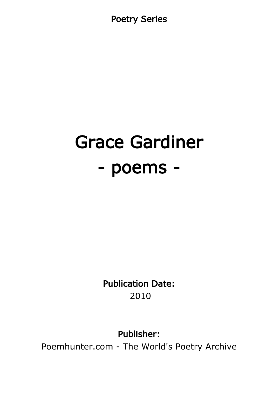Poetry Series

# Grace Gardiner - poems -

Publication Date: 2010

Publisher:

Poemhunter.com - The World's Poetry Archive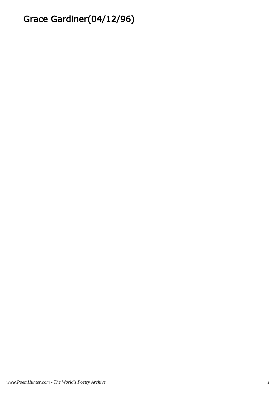# Grace Gardiner(04/12/96)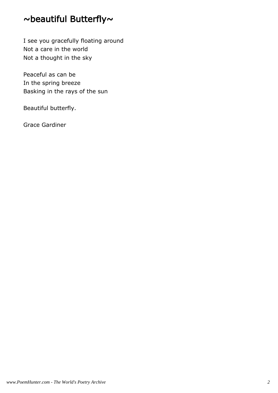# ~beautiful Butterfly~

I see you gracefully floating around Not a care in the world Not a thought in the sky

Peaceful as can be In the spring breeze Basking in the rays of the sun

Beautiful butterfly.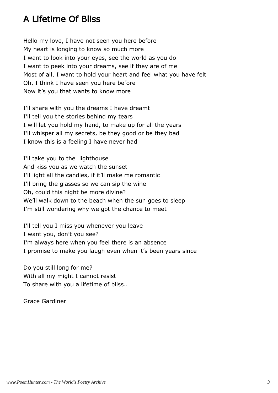# A Lifetime Of Bliss

Hello my love, I have not seen you here before My heart is longing to know so much more I want to look into your eyes, see the world as you do I want to peek into your dreams, see if they are of me Most of all, I want to hold your heart and feel what you have felt Oh, I think I have seen you here before Now it's you that wants to know more

I'll share with you the dreams I have dreamt I'll tell you the stories behind my tears I will let you hold my hand, to make up for all the years I'll whisper all my secrets, be they good or be they bad I know this is a feeling I have never had

I'll take you to the lighthouse And kiss you as we watch the sunset I'll light all the candles, if it'll make me romantic I'll bring the glasses so we can sip the wine Oh, could this night be more divine? We'll walk down to the beach when the sun goes to sleep I'm still wondering why we got the chance to meet

I'll tell you I miss you whenever you leave I want you, don't you see? I'm always here when you feel there is an absence I promise to make you laugh even when it's been years since

Do you still long for me? With all my might I cannot resist To share with you a lifetime of bliss..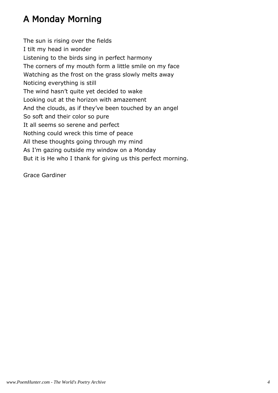# A Monday Morning

The sun is rising over the fields I tilt my head in wonder Listening to the birds sing in perfect harmony The corners of my mouth form a little smile on my face Watching as the frost on the grass slowly melts away Noticing everything is still The wind hasn't quite yet decided to wake Looking out at the horizon with amazement And the clouds, as if they've been touched by an angel So soft and their color so pure It all seems so serene and perfect Nothing could wreck this time of peace All these thoughts going through my mind As I'm gazing outside my window on a Monday But it is He who I thank for giving us this perfect morning.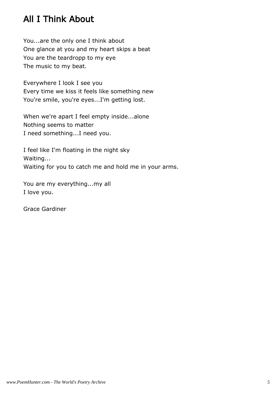## All I Think About

You...are the only one I think about One glance at you and my heart skips a beat You are the teardropp to my eye The music to my beat.

Everywhere I look I see you Every time we kiss it feels like something new You're smile, you're eyes...I'm getting lost.

When we're apart I feel empty inside...alone Nothing seems to matter I need something...I need you.

I feel like I'm floating in the night sky Waiting... Waiting for you to catch me and hold me in your arms.

You are my everything...my all I love you.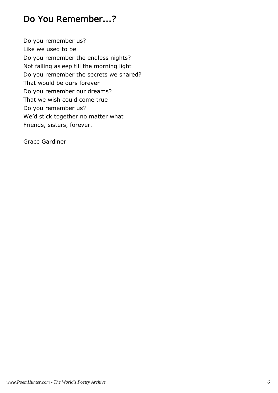## Do You Remember...?

Do you remember us? Like we used to be Do you remember the endless nights? Not falling asleep till the morning light Do you remember the secrets we shared? That would be ours forever Do you remember our dreams? That we wish could come true Do you remember us? We'd stick together no matter what Friends, sisters, forever.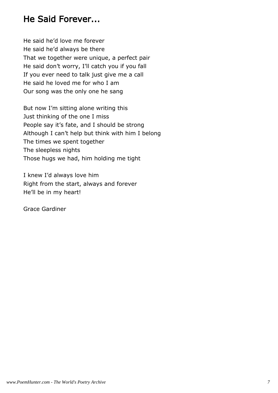#### He Said Forever...

He said he'd love me forever He said he'd always be there That we together were unique, a perfect pair He said don't worry, I'll catch you if you fall If you ever need to talk just give me a call He said he loved me for who I am Our song was the only one he sang

But now I'm sitting alone writing this Just thinking of the one I miss People say it's fate, and I should be strong Although I can't help but think with him I belong The times we spent together The sleepless nights Those hugs we had, him holding me tight

I knew I'd always love him Right from the start, always and forever He'll be in my heart!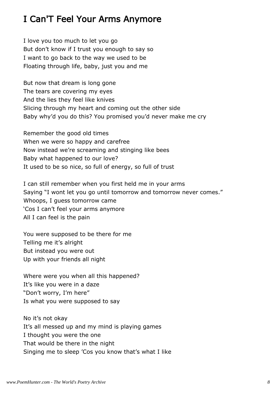# I Can'T Feel Your Arms Anymore

I love you too much to let you go But don't know if I trust you enough to say so I want to go back to the way we used to be Floating through life, baby, just you and me

But now that dream is long gone The tears are covering my eyes And the lies they feel like knives Slicing through my heart and coming out the other side Baby why'd you do this? You promised you'd never make me cry

Remember the good old times When we were so happy and carefree Now instead we're screaming and stinging like bees Baby what happened to our love? It used to be so nice, so full of energy, so full of trust

I can still remember when you first held me in your arms Saying "I wont let you go until tomorrow and tomorrow never comes." Whoops, I guess tomorrow came 'Cos I can't feel your arms anymore All I can feel is the pain

You were supposed to be there for me Telling me it's alright But instead you were out Up with your friends all night

Where were you when all this happened? It's like you were in a daze "Don't worry, I'm here" Is what you were supposed to say

No it's not okay It's all messed up and my mind is playing games I thought you were the one That would be there in the night Singing me to sleep 'Cos you know that's what I like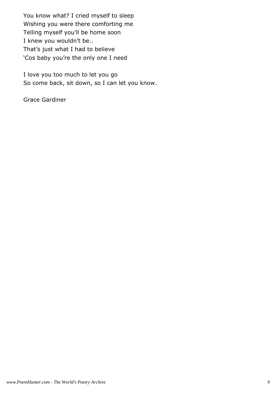You know what? I cried myself to sleep Wishing you were there comforting me Telling myself you'll be home soon I knew you wouldn't be.. That's just what I had to believe 'Cos baby you're the only one I need

I love you too much to let you go So come back, sit down, so I can let you know.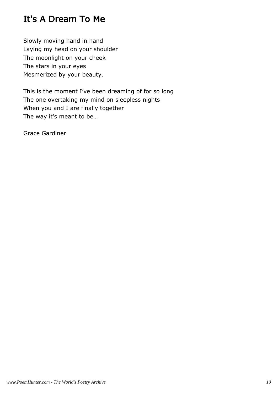# It's A Dream To Me

Slowly moving hand in hand Laying my head on your shoulder The moonlight on your cheek The stars in your eyes Mesmerized by your beauty.

This is the moment I've been dreaming of for so long The one overtaking my mind on sleepless nights When you and I are finally together The way it's meant to be…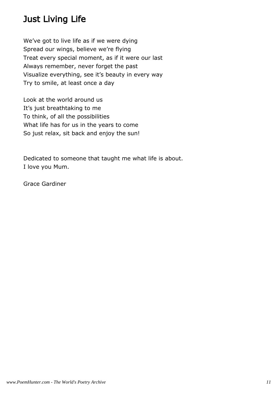# Just Living Life

We've got to live life as if we were dying Spread our wings, believe we're flying Treat every special moment, as if it were our last Always remember, never forget the past Visualize everything, see it's beauty in every way Try to smile, at least once a day

Look at the world around us It's just breathtaking to me To think, of all the possibilities What life has for us in the years to come So just relax, sit back and enjoy the sun!

Dedicated to someone that taught me what life is about. I love you Mum.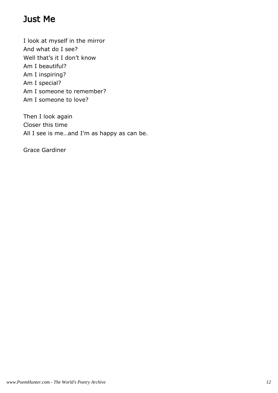# Just Me

I look at myself in the mirror And what do I see? Well that's it I don't know Am I beautiful? Am I inspiring? Am I special? Am I someone to remember? Am I someone to love?

Then I look again Closer this time All I see is me...and I'm as happy as can be.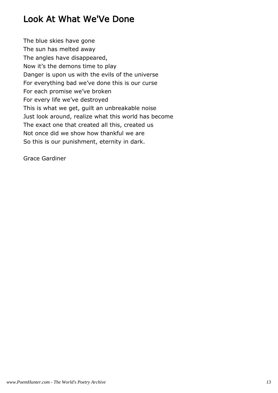# Look At What We'Ve Done

The blue skies have gone The sun has melted away The angles have disappeared, Now it's the demons time to play Danger is upon us with the evils of the universe For everything bad we've done this is our curse For each promise we've broken For every life we've destroyed This is what we get, guilt an unbreakable noise Just look around, realize what this world has become The exact one that created all this, created us Not once did we show how thankful we are So this is our punishment, eternity in dark.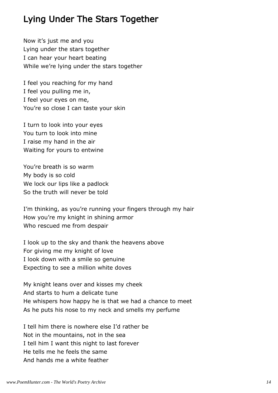#### Lying Under The Stars Together

Now it's just me and you Lying under the stars together I can hear your heart beating While we're lying under the stars together

I feel you reaching for my hand I feel you pulling me in, I feel your eyes on me, You're so close I can taste your skin

I turn to look into your eyes You turn to look into mine I raise my hand in the air Waiting for yours to entwine

You're breath is so warm My body is so cold We lock our lips like a padlock So the truth will never be told

I'm thinking, as you're running your fingers through my hair How you're my knight in shining armor Who rescued me from despair

I look up to the sky and thank the heavens above For giving me my knight of love I look down with a smile so genuine Expecting to see a million white doves

My knight leans over and kisses my cheek And starts to hum a delicate tune He whispers how happy he is that we had a chance to meet As he puts his nose to my neck and smells my perfume

I tell him there is nowhere else I'd rather be Not in the mountains, not in the sea I tell him I want this night to last forever He tells me he feels the same And hands me a white feather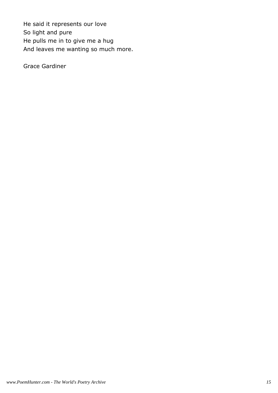He said it represents our love So light and pure He pulls me in to give me a hug And leaves me wanting so much more.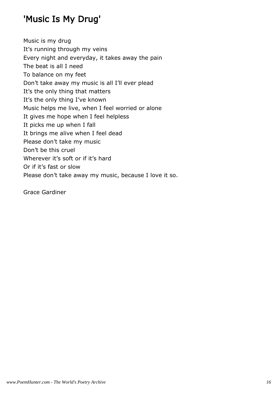# 'Music Is My Drug'

Music is my drug It's running through my veins Every night and everyday, it takes away the pain The beat is all I need To balance on my feet Don't take away my music is all I'll ever plead It's the only thing that matters It's the only thing I've known Music helps me live, when I feel worried or alone It gives me hope when I feel helpless It picks me up when I fall It brings me alive when I feel dead Please don't take my music Don't be this cruel Wherever it's soft or if it's hard Or if it's fast or slow Please don't take away my music, because I love it so.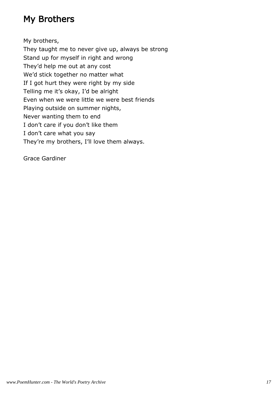# My Brothers

My brothers,

They taught me to never give up, always be strong Stand up for myself in right and wrong They'd help me out at any cost We'd stick together no matter what If I got hurt they were right by my side Telling me it's okay, I'd be alright Even when we were little we were best friends Playing outside on summer nights, Never wanting them to end I don't care if you don't like them I don't care what you say They're my brothers, I'll love them always.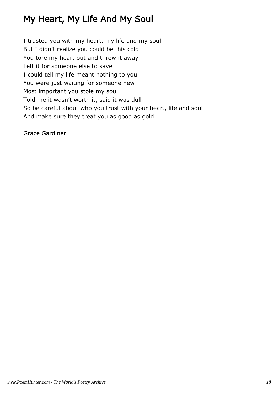# My Heart, My Life And My Soul

I trusted you with my heart, my life and my soul But I didn't realize you could be this cold You tore my heart out and threw it away Left it for someone else to save I could tell my life meant nothing to you You were just waiting for someone new Most important you stole my soul Told me it wasn't worth it, said it was dull So be careful about who you trust with your heart, life and soul And make sure they treat you as good as gold…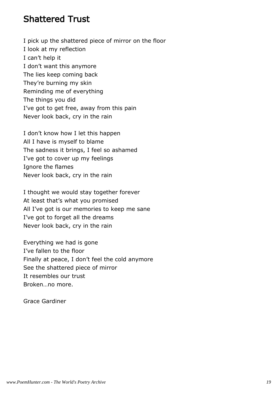#### Shattered Trust

I pick up the shattered piece of mirror on the floor I look at my reflection I can't help it I don't want this anymore The lies keep coming back They're burning my skin Reminding me of everything The things you did I've got to get free, away from this pain Never look back, cry in the rain

I don't know how I let this happen All I have is myself to blame The sadness it brings, I feel so ashamed I've got to cover up my feelings Ignore the flames Never look back, cry in the rain

I thought we would stay together forever At least that's what you promised All I've got is our memories to keep me sane I've got to forget all the dreams Never look back, cry in the rain

Everything we had is gone I've fallen to the floor Finally at peace, I don't feel the cold anymore See the shattered piece of mirror It resembles our trust Broken…no more.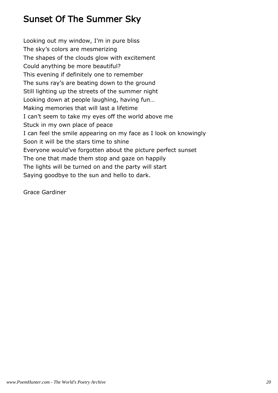# Sunset Of The Summer Sky

Looking out my window, I'm in pure bliss The sky's colors are mesmerizing The shapes of the clouds glow with excitement Could anything be more beautiful? This evening if definitely one to remember The suns ray's are beating down to the ground Still lighting up the streets of the summer night Looking down at people laughing, having fun… Making memories that will last a lifetime I can't seem to take my eyes off the world above me Stuck in my own place of peace I can feel the smile appearing on my face as I look on knowingly Soon it will be the stars time to shine Everyone would've forgotten about the picture perfect sunset The one that made them stop and gaze on happily The lights will be turned on and the party will start Saying goodbye to the sun and hello to dark.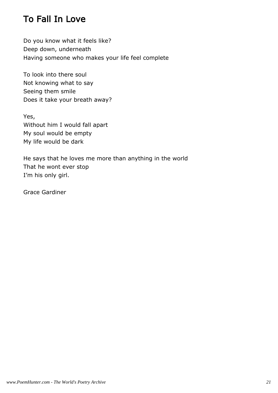# To Fall In Love

Do you know what it feels like? Deep down, underneath Having someone who makes your life feel complete

To look into there soul Not knowing what to say Seeing them smile Does it take your breath away?

Yes, Without him I would fall apart My soul would be empty My life would be dark

He says that he loves me more than anything in the world That he wont ever stop I'm his only girl.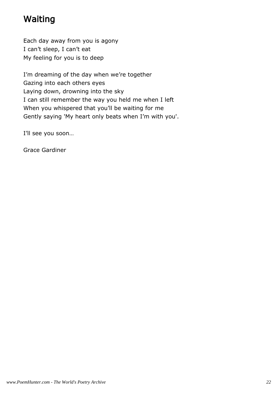# Waiting

Each day away from you is agony I can't sleep, I can't eat My feeling for you is to deep

I'm dreaming of the day when we're together Gazing into each others eyes Laying down, drowning into the sky I can still remember the way you held me when I left When you whispered that you'll be waiting for me Gently saying 'My heart only beats when I'm with you'.

I'll see you soon…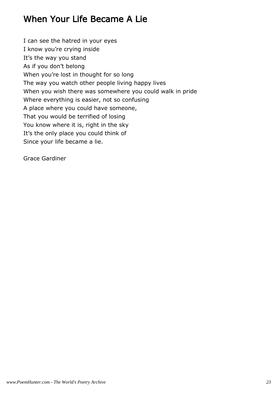# When Your Life Became A Lie

I can see the hatred in your eyes I know you're crying inside It's the way you stand As if you don't belong When you're lost in thought for so long The way you watch other people living happy lives When you wish there was somewhere you could walk in pride Where everything is easier, not so confusing A place where you could have someone, That you would be terrified of losing You know where it is, right in the sky It's the only place you could think of Since your life became a lie.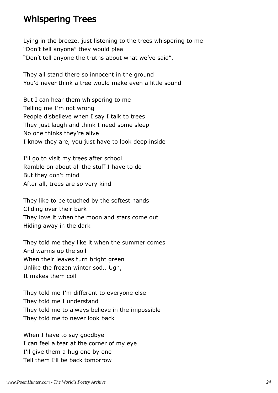#### Whispering Trees

Lying in the breeze, just listening to the trees whispering to me "Don't tell anyone" they would plea "Don't tell anyone the truths about what we've said".

They all stand there so innocent in the ground You'd never think a tree would make even a little sound

But I can hear them whispering to me Telling me I'm not wrong People disbelieve when I say I talk to trees They just laugh and think I need some sleep No one thinks they're alive I know they are, you just have to look deep inside

I'll go to visit my trees after school Ramble on about all the stuff I have to do But they don't mind After all, trees are so very kind

They like to be touched by the softest hands Gliding over their bark They love it when the moon and stars come out Hiding away in the dark

They told me they like it when the summer comes And warms up the soil When their leaves turn bright green Unlike the frozen winter sod.. Ugh, It makes them coil

They told me I'm different to everyone else They told me I understand They told me to always believe in the impossible They told me to never look back

When I have to say goodbye I can feel a tear at the corner of my eye I'll give them a hug one by one Tell them I'll be back tomorrow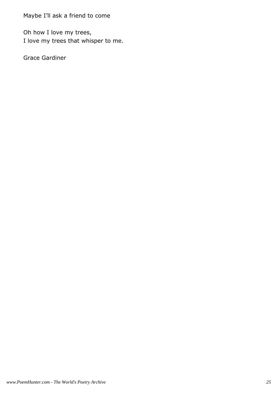Maybe I'll ask a friend to come

Oh how I love my trees, I love my trees that whisper to me.